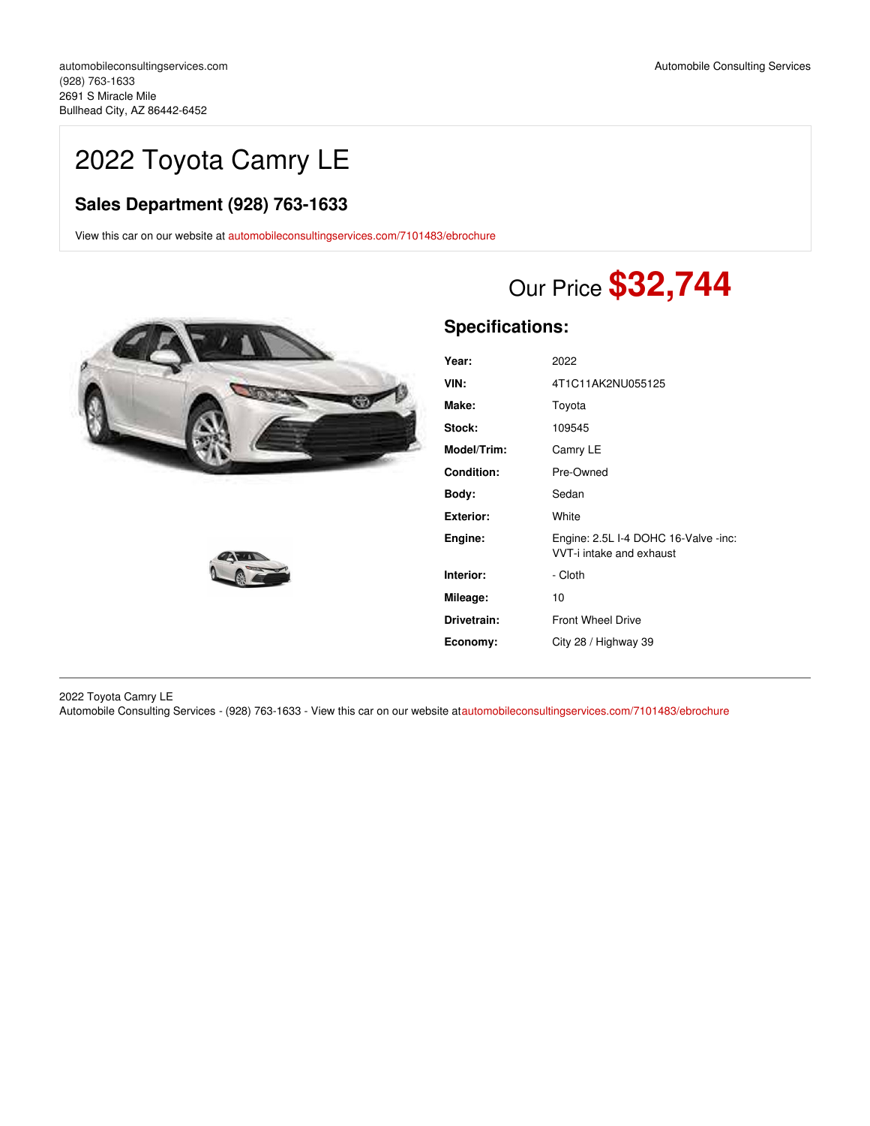## 2022 Toyota Camry LE

## **Sales Department (928) 763-1633**

View this car on our website at [automobileconsultingservices.com/7101483/ebrochure](https://automobileconsultingservices.com/vehicle/7101483/2022-toyota-camry-le-bullhead-city-az-86442-6452/7101483/ebrochure)





# Our Price **\$32,744**

## **Specifications:**

| Year:             | 2022                                                             |
|-------------------|------------------------------------------------------------------|
| VIN:              | 4T1C11AK2NU055125                                                |
| Make:             | Toyota                                                           |
| <b>Stock:</b>     | 109545                                                           |
| Model/Trim:       | Camry LE                                                         |
| <b>Condition:</b> | Pre-Owned                                                        |
| Body:             | Sedan                                                            |
| Exterior:         | White                                                            |
| Engine:           | Engine: 2.5L I-4 DOHC 16-Valve -inc:<br>VVT-i intake and exhaust |
| Interior:         | - Cloth                                                          |
| Mileage:          | 10                                                               |
| Drivetrain:       | <b>Front Wheel Drive</b>                                         |
| Economy:          | City 28 / Highway 39                                             |
|                   |                                                                  |

2022 Toyota Camry LE

Automobile Consulting Services - (928) 763-1633 - View this car on our website a[tautomobileconsultingservices.com/7101483/ebrochure](https://automobileconsultingservices.com/vehicle/7101483/2022-toyota-camry-le-bullhead-city-az-86442-6452/7101483/ebrochure)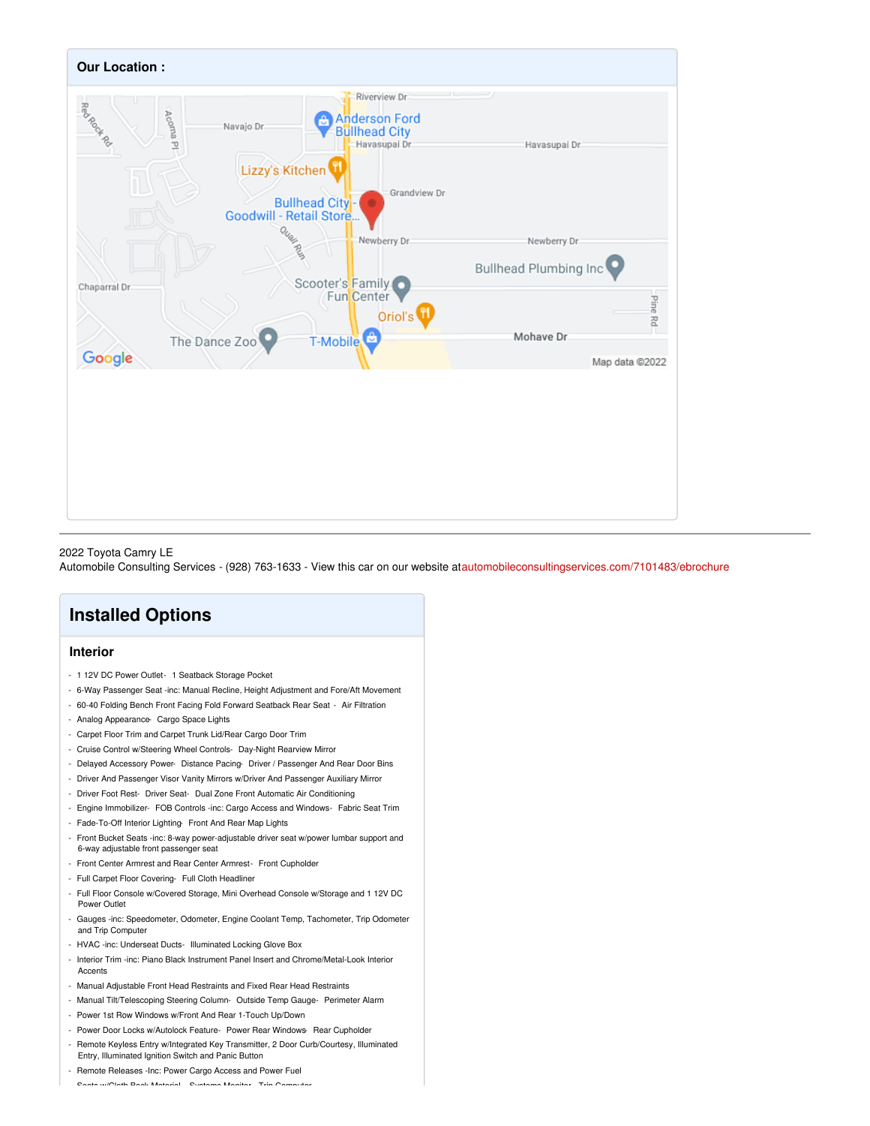

#### 2022 Toyota Camry LE

Automobile Consulting Services - (928) 763-1633 - View this car on our website a[tautomobileconsultingservices.com/7101483/ebrochure](https://automobileconsultingservices.com/vehicle/7101483/2022-toyota-camry-le-bullhead-city-az-86442-6452/7101483/ebrochure)

## **Installed Options**

#### **Interior**

- 1 12V DC Power Outlet- 1 Seatback Storage Pocket
- 6-Way Passenger Seat -inc: Manual Recline, Height Adjustment and Fore/Aft Movement
- 60-40 Folding Bench Front Facing Fold Forward Seatback Rear Seat Air Filtration
- Analog Appearance- Cargo Space Lights
- Carpet Floor Trim and Carpet Trunk Lid/Rear Cargo Door Trim
- Cruise Control w/Steering Wheel Controls- Day-Night Rearview Mirror
- Delayed Accessory Power- Distance Pacing- Driver / Passenger And Rear Door Bins
- Driver And Passenger Visor Vanity Mirrors w/Driver And Passenger Auxiliary Mirror
- Driver Foot Rest- Driver Seat- Dual Zone Front Automatic Air Conditioning
- Engine Immobilizer- FOB Controls -inc: Cargo Access and Windows- Fabric Seat Trim
- Fade-To-Off Interior Lighting- Front And Rear Map Lights
- Front Bucket Seats -inc: 8-way power-adjustable driver seat w/power lumbar support and 6-way adjustable front passenger seat
- Front Center Armrest and Rear Center Armrest- Front Cupholder
- Full Carpet Floor Covering- Full Cloth Headliner
- Full Floor Console w/Covered Storage, Mini Overhead Console w/Storage and 1 12V DC Power Outlet
- Gauges -inc: Speedometer, Odometer, Engine Coolant Temp, Tachometer, Trip Odometer and Trip Computer
- HVAC -inc: Underseat Ducts- Illuminated Locking Glove Box
- Interior Trim -inc: Piano Black Instrument Panel Insert and Chrome/Metal-Look Interior **Accents**
- Manual Adjustable Front Head Restraints and Fixed Rear Head Restraints
- Manual Tilt/Telescoping Steering Column- Outside Temp Gauge- Perimeter Alarm
- Power 1st Row Windows w/Front And Rear 1-Touch Up/Down
- Power Door Locks w/Autolock Feature- Power Rear Windows- Rear Cupholder
- Remote Keyless Entry w/Integrated Key Transmitter, 2 Door Curb/Courtesy, Illuminated Entry, Illuminated Ignition Switch and Panic Button
- Remote Releases -Inc: Power Cargo Access and Power Fuel

- Seats w/Cloth Back Material- Systems Monitor- Trip Computer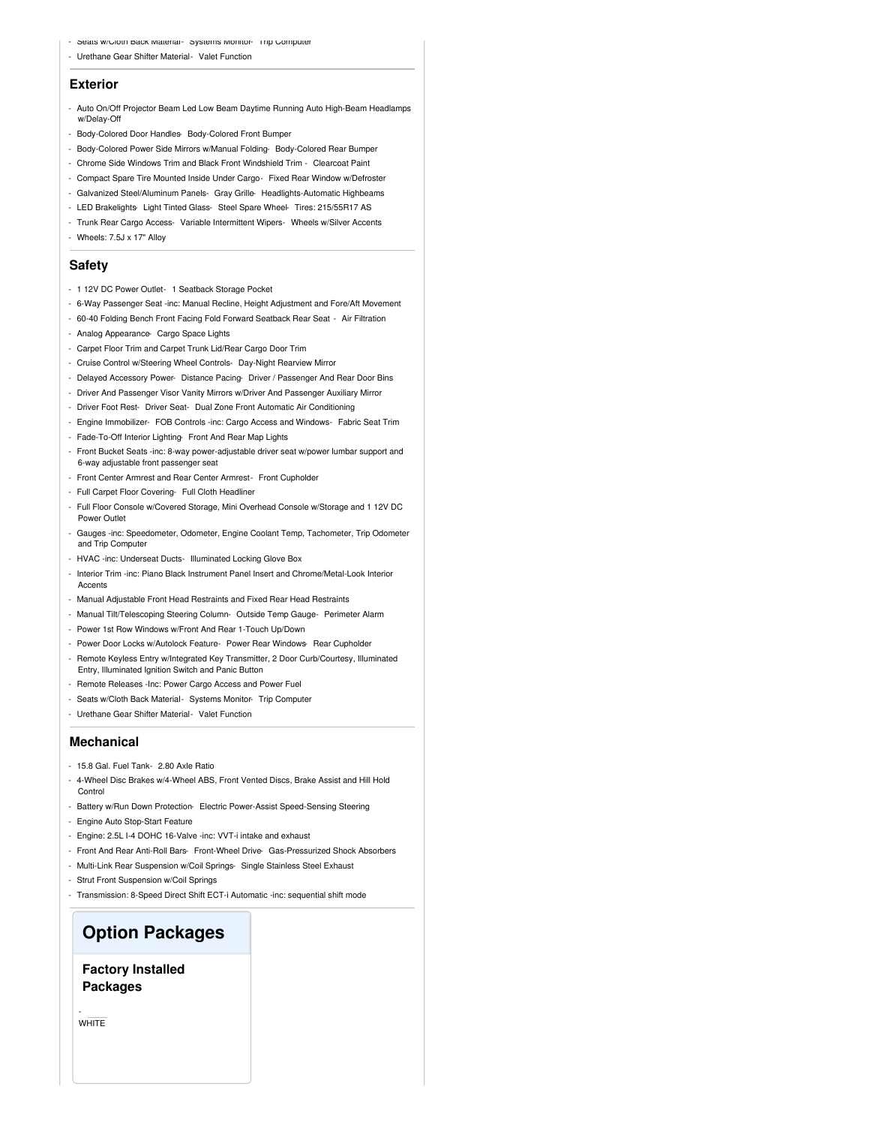- Seats w/Cloth Back Material- Systems Monitor- Trip Computer
- Urethane Gear Shifter Material- Valet Function

#### **Exterior**

- Auto On/Off Projector Beam Led Low Beam Daytime Running Auto High-Beam Headlamps w/Delay-Off
- Body-Colored Door Handles- Body-Colored Front Bumper
- Body-Colored Power Side Mirrors w/Manual Folding- Body-Colored Rear Bumper
- Chrome Side Windows Trim and Black Front Windshield Trim Clearcoat Paint
- Compact Spare Tire Mounted Inside Under Cargo- Fixed Rear Window w/Defroster
- Galvanized Steel/Aluminum Panels- Gray Grille- Headlights-Automatic Highbeams
- LED Brakelights- Light Tinted Glass- Steel Spare Wheel- Tires: 215/55R17 AS
- Trunk Rear Cargo Access- Variable Intermittent Wipers- Wheels w/Silver Accents
- Wheels: 7.5J x 17" Alloy

#### **Safety**

- 1 12V DC Power Outlet- 1 Seatback Storage Pocket
- 6-Way Passenger Seat -inc: Manual Recline, Height Adjustment and Fore/Aft Movement
- 60-40 Folding Bench Front Facing Fold Forward Seatback Rear Seat Air Filtration
- Analog Appearance- Cargo Space Lights
- Carpet Floor Trim and Carpet Trunk Lid/Rear Cargo Door Trim
- Cruise Control w/Steering Wheel Controls- Day-Night Rearview Mirror
- Delayed Accessory Power- Distance Pacing- Driver / Passenger And Rear Door Bins
- Driver And Passenger Visor Vanity Mirrors w/Driver And Passenger Auxiliary Mirror
- Driver Foot Rest- Driver Seat- Dual Zone Front Automatic Air Conditioning
- Engine Immobilizer- FOB Controls -inc: Cargo Access and Windows- Fabric Seat Trim
- Fade-To-Off Interior Lighting- Front And Rear Map Lights
- Front Bucket Seats -inc: 8-way power-adjustable driver seat w/power lumbar support and 6-way adjustable front passenger seat
- Front Center Armrest and Rear Center Armrest- Front Cupholder
- Full Carpet Floor Covering- Full Cloth Headliner
- Full Floor Console w/Covered Storage, Mini Overhead Console w/Storage and 1 12V DC Power Outlet
- Gauges -inc: Speedometer, Odometer, Engine Coolant Temp, Tachometer, Trip Odometer and Trip Computer
- HVAC -inc: Underseat Ducts- Illuminated Locking Glove Box
- Interior Trim -inc: Piano Black Instrument Panel Insert and Chrome/Metal-Look Interior **Accents**
- Manual Adjustable Front Head Restraints and Fixed Rear Head Restraints
- Manual Tilt/Telescoping Steering Column- Outside Temp Gauge- Perimeter Alarm
- Power 1st Row Windows w/Front And Rear 1-Touch Up/Down
- Power Door Locks w/Autolock Feature- Power Rear Windows- Rear Cupholder
- Remote Keyless Entry w/Integrated Key Transmitter, 2 Door Curb/Courtesy, Illuminated Entry, Illuminated Ignition Switch and Panic Button
- Remote Releases -Inc: Power Cargo Access and Power Fuel
- Seats w/Cloth Back Material- Systems Monitor- Trip Computer
- Urethane Gear Shifter Material- Valet Function

#### **Mechanical**

- 15.8 Gal. Fuel Tank- 2.80 Axle Ratio
- 4-Wheel Disc Brakes w/4-Wheel ABS, Front Vented Discs, Brake Assist and Hill Hold Control
- Battery w/Run Down Protection- Electric Power-Assist Speed-Sensing Steering
- Engine Auto Stop-Start Feature
- Engine: 2.5L I-4 DOHC 16-Valve -inc: VVT-i intake and exhaust
- Front And Rear Anti-Roll Bars- Front-Wheel Drive- Gas-Pressurized Shock Absorbers
- Multi-Link Rear Suspension w/Coil Springs- Single Stainless Steel Exhaust
- Strut Front Suspension w/Coil Springs
- Transmission: 8-Speed Direct Shift ECT-i Automatic -inc: sequential shift mode

### **Option Packages**

**Factory Installed Packages**

WHITE

-